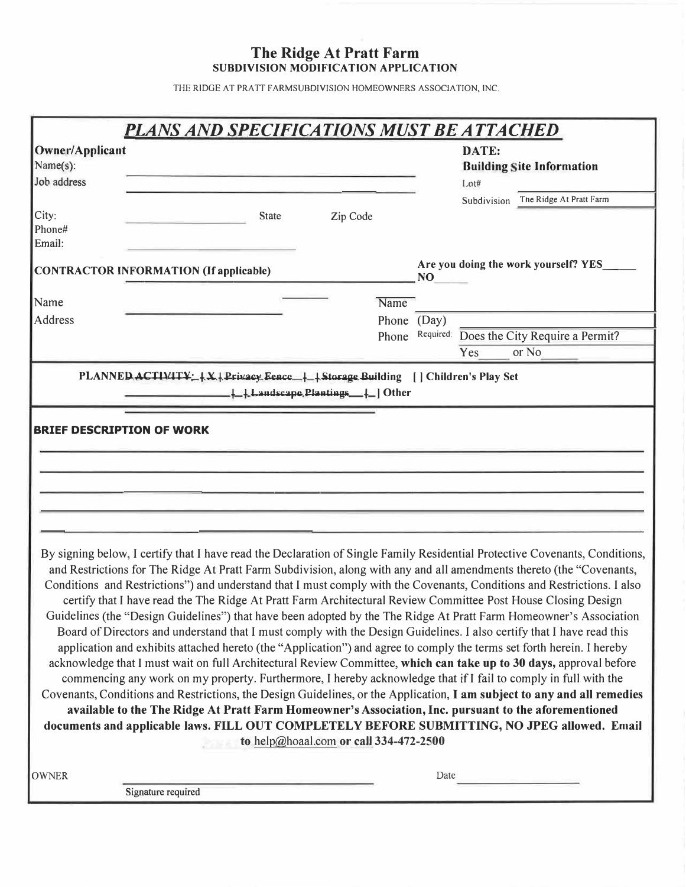### **The Ridge At Pratt Farm SUBDIVISION MODIFICATION APPLICATION**

THE RIDGE AT PRATT FARMSUBDIVISION HOMEOWNERS ASSOCIATION, INC.

|                                            | <b>PLANS AND SPECIFICATIONS MUST BE ATTACHED</b>                                                                                                                                                                                                                                                                                                                                                                                                                                                                                                                                                                                                                                                                                                                                                                                                                                                                                                                                                                                                                                                                                                                                                                                                                                                                                                                                                                                                                                               |          |                                                   |                                           |
|--------------------------------------------|------------------------------------------------------------------------------------------------------------------------------------------------------------------------------------------------------------------------------------------------------------------------------------------------------------------------------------------------------------------------------------------------------------------------------------------------------------------------------------------------------------------------------------------------------------------------------------------------------------------------------------------------------------------------------------------------------------------------------------------------------------------------------------------------------------------------------------------------------------------------------------------------------------------------------------------------------------------------------------------------------------------------------------------------------------------------------------------------------------------------------------------------------------------------------------------------------------------------------------------------------------------------------------------------------------------------------------------------------------------------------------------------------------------------------------------------------------------------------------------------|----------|---------------------------------------------------|-------------------------------------------|
| Owner/Applicant<br>Name(s):<br>Job address |                                                                                                                                                                                                                                                                                                                                                                                                                                                                                                                                                                                                                                                                                                                                                                                                                                                                                                                                                                                                                                                                                                                                                                                                                                                                                                                                                                                                                                                                                                |          | DATE:<br><b>Building Site Information</b><br>Lot# |                                           |
|                                            |                                                                                                                                                                                                                                                                                                                                                                                                                                                                                                                                                                                                                                                                                                                                                                                                                                                                                                                                                                                                                                                                                                                                                                                                                                                                                                                                                                                                                                                                                                |          |                                                   | Subdivision The Ridge At Pratt Farm       |
| City:<br>Phone#<br>Email:                  | <b>State</b>                                                                                                                                                                                                                                                                                                                                                                                                                                                                                                                                                                                                                                                                                                                                                                                                                                                                                                                                                                                                                                                                                                                                                                                                                                                                                                                                                                                                                                                                                   | Zip Code |                                                   |                                           |
|                                            | CONTRACTOR INFORMATION (If applicable)                                                                                                                                                                                                                                                                                                                                                                                                                                                                                                                                                                                                                                                                                                                                                                                                                                                                                                                                                                                                                                                                                                                                                                                                                                                                                                                                                                                                                                                         |          | NO                                                | Are you doing the work yourself? YES_     |
| Name                                       |                                                                                                                                                                                                                                                                                                                                                                                                                                                                                                                                                                                                                                                                                                                                                                                                                                                                                                                                                                                                                                                                                                                                                                                                                                                                                                                                                                                                                                                                                                | Name     |                                                   |                                           |
| Address                                    |                                                                                                                                                                                                                                                                                                                                                                                                                                                                                                                                                                                                                                                                                                                                                                                                                                                                                                                                                                                                                                                                                                                                                                                                                                                                                                                                                                                                                                                                                                | Phone    | (Day)                                             |                                           |
|                                            |                                                                                                                                                                                                                                                                                                                                                                                                                                                                                                                                                                                                                                                                                                                                                                                                                                                                                                                                                                                                                                                                                                                                                                                                                                                                                                                                                                                                                                                                                                | Phone    |                                                   | Required: Does the City Require a Permit? |
|                                            |                                                                                                                                                                                                                                                                                                                                                                                                                                                                                                                                                                                                                                                                                                                                                                                                                                                                                                                                                                                                                                                                                                                                                                                                                                                                                                                                                                                                                                                                                                |          | Yes                                               | or No                                     |
|                                            | Landscape Plantings   Other                                                                                                                                                                                                                                                                                                                                                                                                                                                                                                                                                                                                                                                                                                                                                                                                                                                                                                                                                                                                                                                                                                                                                                                                                                                                                                                                                                                                                                                                    |          |                                                   |                                           |
| <b>BRIEF DESCRIPTION OF WORK</b>           |                                                                                                                                                                                                                                                                                                                                                                                                                                                                                                                                                                                                                                                                                                                                                                                                                                                                                                                                                                                                                                                                                                                                                                                                                                                                                                                                                                                                                                                                                                |          |                                                   |                                           |
|                                            |                                                                                                                                                                                                                                                                                                                                                                                                                                                                                                                                                                                                                                                                                                                                                                                                                                                                                                                                                                                                                                                                                                                                                                                                                                                                                                                                                                                                                                                                                                |          |                                                   |                                           |
|                                            |                                                                                                                                                                                                                                                                                                                                                                                                                                                                                                                                                                                                                                                                                                                                                                                                                                                                                                                                                                                                                                                                                                                                                                                                                                                                                                                                                                                                                                                                                                |          |                                                   |                                           |
|                                            |                                                                                                                                                                                                                                                                                                                                                                                                                                                                                                                                                                                                                                                                                                                                                                                                                                                                                                                                                                                                                                                                                                                                                                                                                                                                                                                                                                                                                                                                                                |          |                                                   |                                           |
|                                            | By signing below, I certify that I have read the Declaration of Single Family Residential Protective Covenants, Conditions,<br>and Restrictions for The Ridge At Pratt Farm Subdivision, along with any and all amendments thereto (the "Covenants,<br>Conditions and Restrictions") and understand that I must comply with the Covenants, Conditions and Restrictions. I also<br>certify that I have read the The Ridge At Pratt Farm Architectural Review Committee Post House Closing Design<br>Guidelines (the "Design Guidelines") that have been adopted by the The Ridge At Pratt Farm Homeowner's Association<br>Board of Directors and understand that I must comply with the Design Guidelines. I also certify that I have read this<br>application and exhibits attached hereto (the "Application") and agree to comply the terms set forth herein. I hereby<br>acknowledge that I must wait on full Architectural Review Committee, which can take up to 30 days, approval before<br>commencing any work on my property. Furthermore, I hereby acknowledge that if I fail to comply in full with the<br>Covenants, Conditions and Restrictions, the Design Guidelines, or the Application, I am subject to any and all remedies<br>available to the The Ridge At Pratt Farm Homeowner's Association, Inc. pursuant to the aforementioned<br>documents and applicable laws. FILL OUT COMPLETELY BEFORE SUBMITTING, NO JPEG allowed. Email<br>to help@hoaal.com or call 334-472-2500 |          |                                                   |                                           |
| <b>OWNER</b>                               |                                                                                                                                                                                                                                                                                                                                                                                                                                                                                                                                                                                                                                                                                                                                                                                                                                                                                                                                                                                                                                                                                                                                                                                                                                                                                                                                                                                                                                                                                                |          | Date                                              |                                           |
|                                            | Signature required                                                                                                                                                                                                                                                                                                                                                                                                                                                                                                                                                                                                                                                                                                                                                                                                                                                                                                                                                                                                                                                                                                                                                                                                                                                                                                                                                                                                                                                                             |          |                                                   |                                           |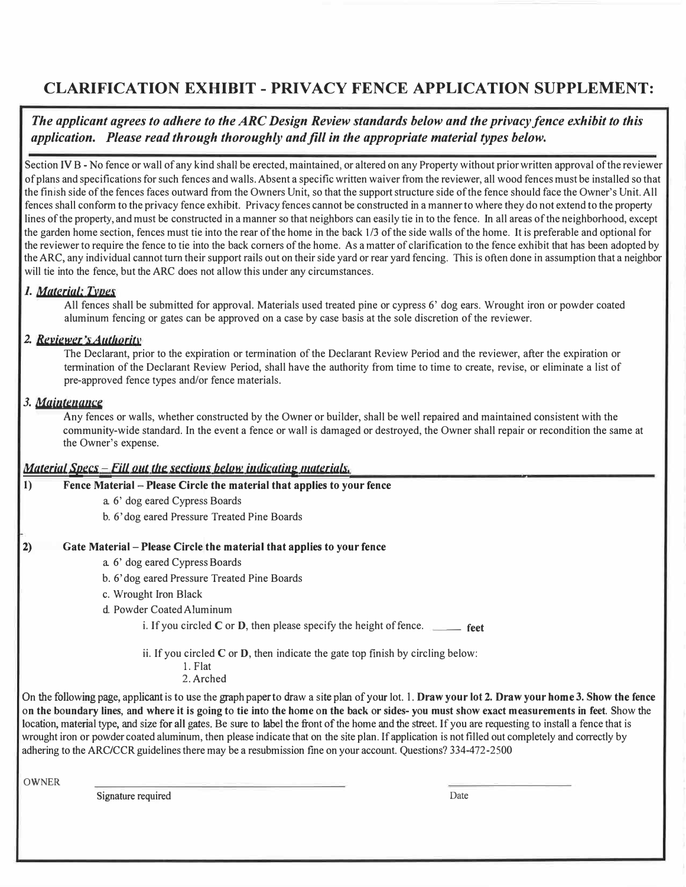## **CLARIFICATION EXHIBIT - PRIVACY FENCE APPLICATION SUPPLEMENT:**

*The applicant agrees to adhere to the ARC Design Review standards below and the privacy fence exhibit to this application. Please read through thoroughly and fill in the appropriate material types below.* 

Section IV B - No fence or wall of any kind shall be erected, maintained, or altered on any Property without prior written approval of the reviewer of plans and specifications for such fences and walls. Absent a specific written waiver from the reviewer, all wood fences must be installed so that the finish side of the fences faces outward from the Owners Unit, so that the support structure side of the fence should face the Owner's Unit. All fences shall conform to the privacy fence exhibit. Privacy fences cannot be constructed in a manner to where they do not extend to the property lines of the property, and must be constructed in a manner so that neighbors can easily tie in to the fence. In all areas of the neighborhood, except the garden home section, fences must tie into the rear of the home in the back 1/3 of the side walls of the home. It is preferable and optional for the reviewer to require the fence to tie into the back comers of the home. As a matter of clarification to the fence exhibit that has been adopted by the ARC, any individual cannot tum their support rails out on their side yard or rear yard fencing. This is often done in assumption that a neighbor will tie into the fence, but the ARC does not allow this under any circumstances.

#### *1. Material; D1ues*

All fences shall be submitted for approval. Materials used treated pine or cypress 6' dog ears. Wrought iron or powder coated aluminum fencing or gates can be approved on a case by case basis at the sole discretion of the reviewer.

#### 2. *Reviewer's Authority*

The Declarant, prior to the expiration or termination of the Declarant Review Period and the reviewer, after the expiration or tennination of the Declarant Review Period, shall have the authority from time to time to create, revise, or eliminate a list of pre-approved fence types and/or fence materials.

#### *3. Mainte11a11ce*

Any fences or walls, whether constructed by the Owner or builder, shall be well repaired and maintained consistent with the community-wide standard. In the event a fence or wall is damaged or destroyed, the Owner shall repair or recondition the same at the Owner's expense.

#### *Material Specs - Fill out the sections below indicating materials,*

| Fence Material – Please Circle the material that applies to your fence               |
|--------------------------------------------------------------------------------------|
| a. 6' dog eared Cypress Boards                                                       |
| b. 6'dog eared Pressure Treated Pine Boards                                          |
|                                                                                      |
| Gate Material – Please Circle the material that applies to your fence                |
| a. 6' dog eared Cypress Boards                                                       |
| b. 6'dog eared Pressure Treated Pine Boards                                          |
| c. Wrought Iron Black                                                                |
| d. Powder Coated Aluminum                                                            |
| i. If you circled $C$ or $D$ , then please specify the height of fence.<br>feet      |
| ii. If you circled $C$ or $D$ , then indicate the gate top finish by circling below: |

1. Flat 2. Arched

On the following page, applicantis to use the graph paper to draw a site plan of your lot. 1. **Draw your lot 2. Draw your home 3. Show the fence**  on the boundary lines, and where it is going to tie into the home on the back or sides- you must show exact measurements in feet. Show the location, material type, and size for all gates. Be sure to label the front of the home and the street. If you are requesting to install a fence that is wrought iron or powder coated aluminum, then please indicate that on the site plan. If application is not filled out completely and correctly by adhering to the ARC/CCR guidelines there may be a resubmission fine on your account. Questions? 334-472-2500

**OWNER** 

Signature required Date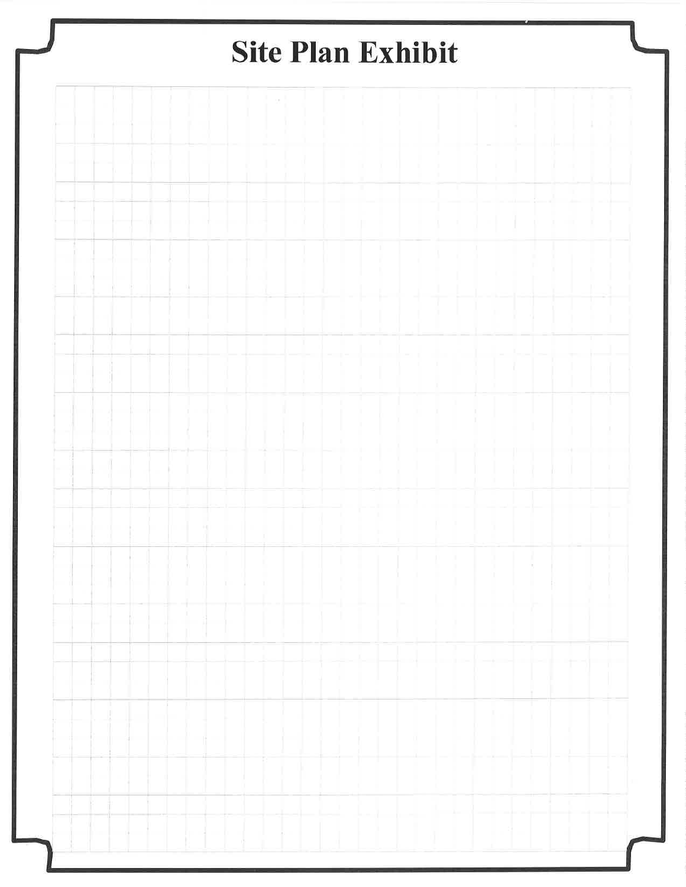